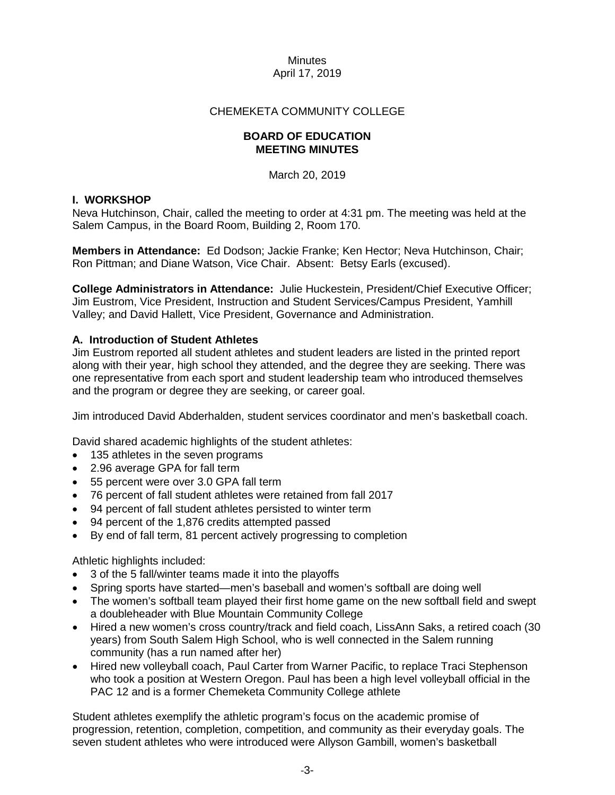### CHEMEKETA COMMUNITY COLLEGE

#### **BOARD OF EDUCATION MEETING MINUTES**

March 20, 2019

### **I. WORKSHOP**

Neva Hutchinson, Chair, called the meeting to order at 4:31 pm. The meeting was held at the Salem Campus, in the Board Room, Building 2, Room 170.

**Members in Attendance:** Ed Dodson; Jackie Franke; Ken Hector; Neva Hutchinson, Chair; Ron Pittman; and Diane Watson, Vice Chair. Absent: Betsy Earls (excused).

**College Administrators in Attendance:** Julie Huckestein, President/Chief Executive Officer; Jim Eustrom, Vice President, Instruction and Student Services/Campus President, Yamhill Valley; and David Hallett, Vice President, Governance and Administration.

## **A. Introduction of Student Athletes**

Jim Eustrom reported all student athletes and student leaders are listed in the printed report along with their year, high school they attended, and the degree they are seeking. There was one representative from each sport and student leadership team who introduced themselves and the program or degree they are seeking, or career goal.

Jim introduced David Abderhalden, student services coordinator and men's basketball coach.

David shared academic highlights of the student athletes:

- 135 athletes in the seven programs
- 2.96 average GPA for fall term
- 55 percent were over 3.0 GPA fall term
- 76 percent of fall student athletes were retained from fall 2017
- 94 percent of fall student athletes persisted to winter term
- 94 percent of the 1,876 credits attempted passed
- By end of fall term, 81 percent actively progressing to completion

Athletic highlights included:

- 3 of the 5 fall/winter teams made it into the playoffs
- Spring sports have started—men's baseball and women's softball are doing well
- The women's softball team played their first home game on the new softball field and swept a doubleheader with Blue Mountain Community College
- Hired a new women's cross country/track and field coach, LissAnn Saks, a retired coach (30 years) from South Salem High School, who is well connected in the Salem running community (has a run named after her)
- Hired new volleyball coach, Paul Carter from Warner Pacific, to replace Traci Stephenson who took a position at Western Oregon. Paul has been a high level volleyball official in the PAC 12 and is a former Chemeketa Community College athlete

Student athletes exemplify the athletic program's focus on the academic promise of progression, retention, completion, competition, and community as their everyday goals. The seven student athletes who were introduced were Allyson Gambill, women's basketball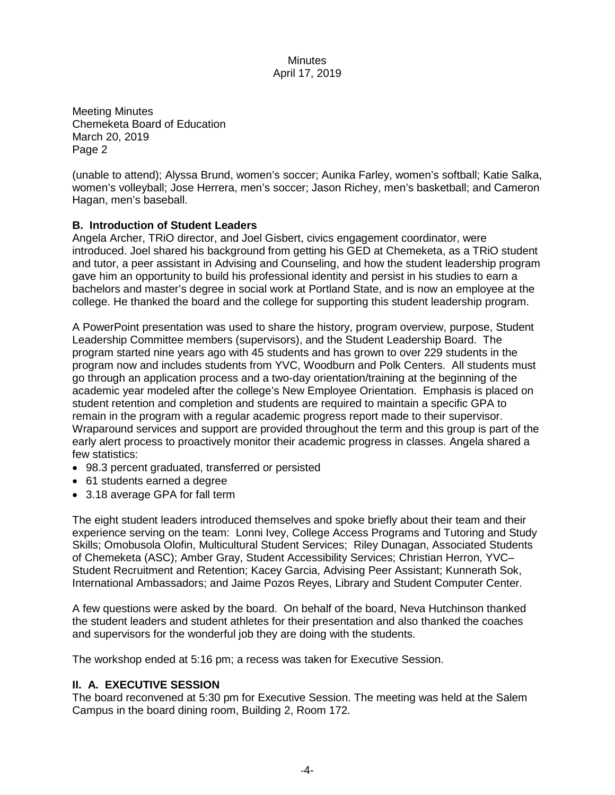Meeting Minutes Chemeketa Board of Education March 20, 2019 Page 2

(unable to attend); Alyssa Brund, women's soccer; Aunika Farley, women's softball; Katie Salka, women's volleyball; Jose Herrera, men's soccer; Jason Richey, men's basketball; and Cameron Hagan, men's baseball.

## **B. Introduction of Student Leaders**

Angela Archer, TRiO director, and Joel Gisbert, civics engagement coordinator, were introduced. Joel shared his background from getting his GED at Chemeketa, as a TRiO student and tutor, a peer assistant in Advising and Counseling, and how the student leadership program gave him an opportunity to build his professional identity and persist in his studies to earn a bachelors and master's degree in social work at Portland State, and is now an employee at the college. He thanked the board and the college for supporting this student leadership program.

A PowerPoint presentation was used to share the history, program overview, purpose, Student Leadership Committee members (supervisors), and the Student Leadership Board. The program started nine years ago with 45 students and has grown to over 229 students in the program now and includes students from YVC, Woodburn and Polk Centers. All students must go through an application process and a two-day orientation/training at the beginning of the academic year modeled after the college's New Employee Orientation. Emphasis is placed on student retention and completion and students are required to maintain a specific GPA to remain in the program with a regular academic progress report made to their supervisor. Wraparound services and support are provided throughout the term and this group is part of the early alert process to proactively monitor their academic progress in classes. Angela shared a few statistics:

- 98.3 percent graduated, transferred or persisted
- 61 students earned a degree
- 3.18 average GPA for fall term

The eight student leaders introduced themselves and spoke briefly about their team and their experience serving on the team: Lonni Ivey, College Access Programs and Tutoring and Study Skills; Omobusola Olofin, Multicultural Student Services; Riley Dunagan, Associated Students of Chemeketa (ASC); Amber Gray, Student Accessibility Services; Christian Herron, YVC– Student Recruitment and Retention; Kacey Garcia, Advising Peer Assistant; Kunnerath Sok, International Ambassadors; and Jaime Pozos Reyes, Library and Student Computer Center.

A few questions were asked by the board. On behalf of the board, Neva Hutchinson thanked the student leaders and student athletes for their presentation and also thanked the coaches and supervisors for the wonderful job they are doing with the students.

The workshop ended at 5:16 pm; a recess was taken for Executive Session.

# **II. A. EXECUTIVE SESSION**

The board reconvened at 5:30 pm for Executive Session. The meeting was held at the Salem Campus in the board dining room, Building 2, Room 172.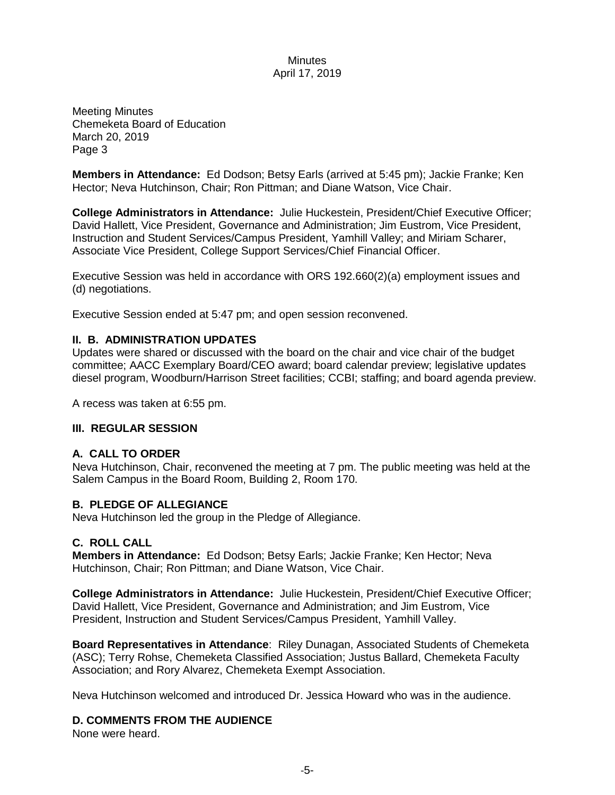Meeting Minutes Chemeketa Board of Education March 20, 2019 Page 3

**Members in Attendance:** Ed Dodson; Betsy Earls (arrived at 5:45 pm); Jackie Franke; Ken Hector; Neva Hutchinson, Chair; Ron Pittman; and Diane Watson, Vice Chair.

**College Administrators in Attendance:** Julie Huckestein, President/Chief Executive Officer; David Hallett, Vice President, Governance and Administration; Jim Eustrom, Vice President, Instruction and Student Services/Campus President, Yamhill Valley; and Miriam Scharer, Associate Vice President, College Support Services/Chief Financial Officer.

Executive Session was held in accordance with ORS 192.660(2)(a) employment issues and (d) negotiations.

Executive Session ended at 5:47 pm; and open session reconvened.

## **II. B. ADMINISTRATION UPDATES**

Updates were shared or discussed with the board on the chair and vice chair of the budget committee; AACC Exemplary Board/CEO award; board calendar preview; legislative updates diesel program, Woodburn/Harrison Street facilities; CCBI; staffing; and board agenda preview.

A recess was taken at 6:55 pm.

## **III. REGULAR SESSION**

## **A. CALL TO ORDER**

Neva Hutchinson, Chair, reconvened the meeting at 7 pm. The public meeting was held at the Salem Campus in the Board Room, Building 2, Room 170.

## **B. PLEDGE OF ALLEGIANCE**

Neva Hutchinson led the group in the Pledge of Allegiance.

#### **C. ROLL CALL**

**Members in Attendance:** Ed Dodson; Betsy Earls; Jackie Franke; Ken Hector; Neva Hutchinson, Chair; Ron Pittman; and Diane Watson, Vice Chair.

**College Administrators in Attendance:** Julie Huckestein, President/Chief Executive Officer; David Hallett, Vice President, Governance and Administration; and Jim Eustrom, Vice President, Instruction and Student Services/Campus President, Yamhill Valley.

**Board Representatives in Attendance**: Riley Dunagan, Associated Students of Chemeketa (ASC); Terry Rohse, Chemeketa Classified Association; Justus Ballard, Chemeketa Faculty Association; and Rory Alvarez, Chemeketa Exempt Association.

Neva Hutchinson welcomed and introduced Dr. Jessica Howard who was in the audience.

# **D. COMMENTS FROM THE AUDIENCE**

None were heard.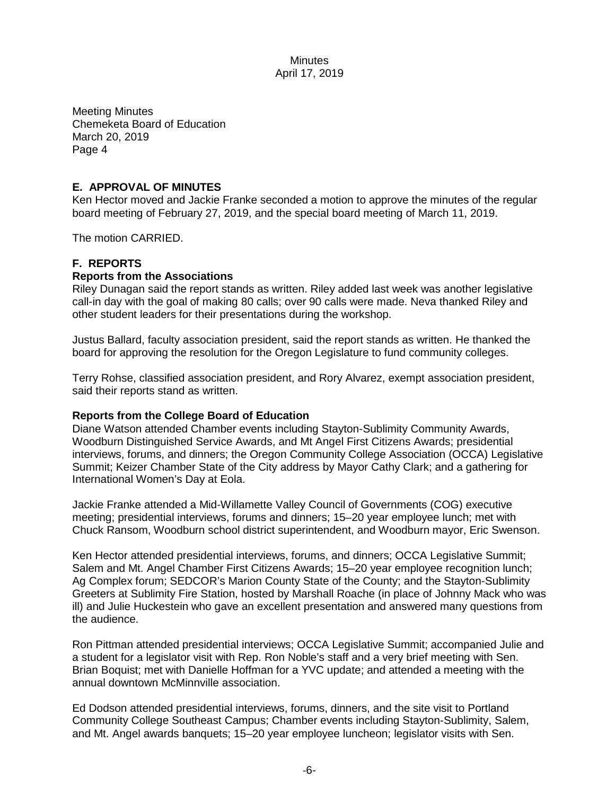Meeting Minutes Chemeketa Board of Education March 20, 2019 Page 4

### **E. APPROVAL OF MINUTES**

Ken Hector moved and Jackie Franke seconded a motion to approve the minutes of the regular board meeting of February 27, 2019, and the special board meeting of March 11, 2019.

The motion CARRIED.

## **F. REPORTS**

#### **Reports from the Associations**

Riley Dunagan said the report stands as written. Riley added last week was another legislative call-in day with the goal of making 80 calls; over 90 calls were made. Neva thanked Riley and other student leaders for their presentations during the workshop.

Justus Ballard, faculty association president, said the report stands as written. He thanked the board for approving the resolution for the Oregon Legislature to fund community colleges.

Terry Rohse, classified association president, and Rory Alvarez, exempt association president, said their reports stand as written.

#### **Reports from the College Board of Education**

Diane Watson attended Chamber events including Stayton-Sublimity Community Awards, Woodburn Distinguished Service Awards, and Mt Angel First Citizens Awards; presidential interviews, forums, and dinners; the Oregon Community College Association (OCCA) Legislative Summit; Keizer Chamber State of the City address by Mayor Cathy Clark; and a gathering for International Women's Day at Eola.

Jackie Franke attended a Mid-Willamette Valley Council of Governments (COG) executive meeting; presidential interviews, forums and dinners; 15–20 year employee lunch; met with Chuck Ransom, Woodburn school district superintendent, and Woodburn mayor, Eric Swenson.

Ken Hector attended presidential interviews, forums, and dinners; OCCA Legislative Summit; Salem and Mt. Angel Chamber First Citizens Awards; 15–20 year employee recognition lunch; Ag Complex forum; SEDCOR's Marion County State of the County; and the Stayton-Sublimity Greeters at Sublimity Fire Station, hosted by Marshall Roache (in place of Johnny Mack who was ill) and Julie Huckestein who gave an excellent presentation and answered many questions from the audience.

Ron Pittman attended presidential interviews; OCCA Legislative Summit; accompanied Julie and a student for a legislator visit with Rep. Ron Noble's staff and a very brief meeting with Sen. Brian Boquist; met with Danielle Hoffman for a YVC update; and attended a meeting with the annual downtown McMinnville association.

Ed Dodson attended presidential interviews, forums, dinners, and the site visit to Portland Community College Southeast Campus; Chamber events including Stayton-Sublimity, Salem, and Mt. Angel awards banquets; 15–20 year employee luncheon; legislator visits with Sen.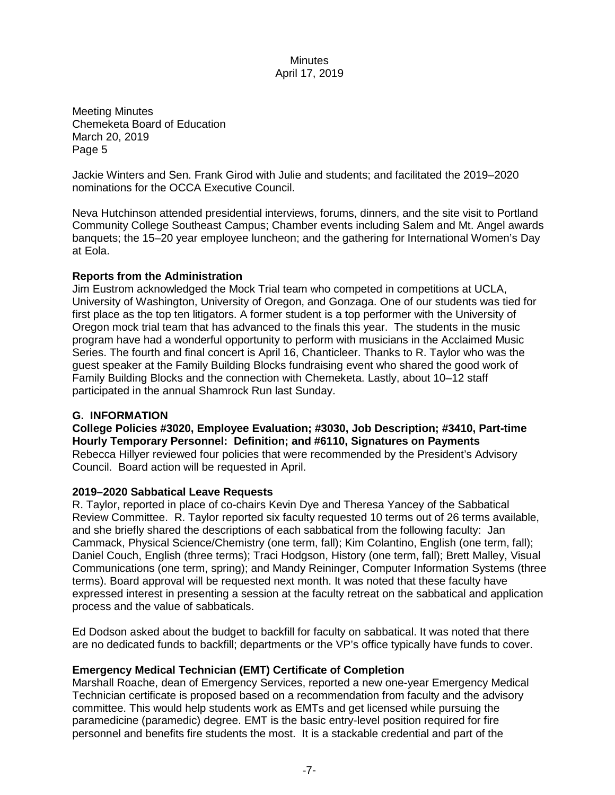Meeting Minutes Chemeketa Board of Education March 20, 2019 Page 5

Jackie Winters and Sen. Frank Girod with Julie and students; and facilitated the 2019–2020 nominations for the OCCA Executive Council.

Neva Hutchinson attended presidential interviews, forums, dinners, and the site visit to Portland Community College Southeast Campus; Chamber events including Salem and Mt. Angel awards banquets; the 15–20 year employee luncheon; and the gathering for International Women's Day at Eola.

## **Reports from the Administration**

Jim Eustrom acknowledged the Mock Trial team who competed in competitions at UCLA, University of Washington, University of Oregon, and Gonzaga. One of our students was tied for first place as the top ten litigators. A former student is a top performer with the University of Oregon mock trial team that has advanced to the finals this year. The students in the music program have had a wonderful opportunity to perform with musicians in the Acclaimed Music Series. The fourth and final concert is April 16, Chanticleer. Thanks to R. Taylor who was the guest speaker at the Family Building Blocks fundraising event who shared the good work of Family Building Blocks and the connection with Chemeketa. Lastly, about 10–12 staff participated in the annual Shamrock Run last Sunday.

## **G. INFORMATION**

**College Policies #3020, Employee Evaluation; #3030, Job Description; #3410, Part-time Hourly Temporary Personnel: Definition; and #6110, Signatures on Payments** Rebecca Hillyer reviewed four policies that were recommended by the President's Advisory Council. Board action will be requested in April.

#### **2019–2020 Sabbatical Leave Requests**

R. Taylor, reported in place of co-chairs Kevin Dye and Theresa Yancey of the Sabbatical Review Committee. R. Taylor reported six faculty requested 10 terms out of 26 terms available, and she briefly shared the descriptions of each sabbatical from the following faculty: Jan Cammack, Physical Science/Chemistry (one term, fall); Kim Colantino, English (one term, fall); Daniel Couch, English (three terms); Traci Hodgson, History (one term, fall); Brett Malley, Visual Communications (one term, spring); and Mandy Reininger, Computer Information Systems (three terms). Board approval will be requested next month. It was noted that these faculty have expressed interest in presenting a session at the faculty retreat on the sabbatical and application process and the value of sabbaticals.

Ed Dodson asked about the budget to backfill for faculty on sabbatical. It was noted that there are no dedicated funds to backfill; departments or the VP's office typically have funds to cover.

## **Emergency Medical Technician (EMT) Certificate of Completion**

Marshall Roache, dean of Emergency Services, reported a new one-year Emergency Medical Technician certificate is proposed based on a recommendation from faculty and the advisory committee. This would help students work as EMTs and get licensed while pursuing the paramedicine (paramedic) degree. EMT is the basic entry-level position required for fire personnel and benefits fire students the most. It is a stackable credential and part of the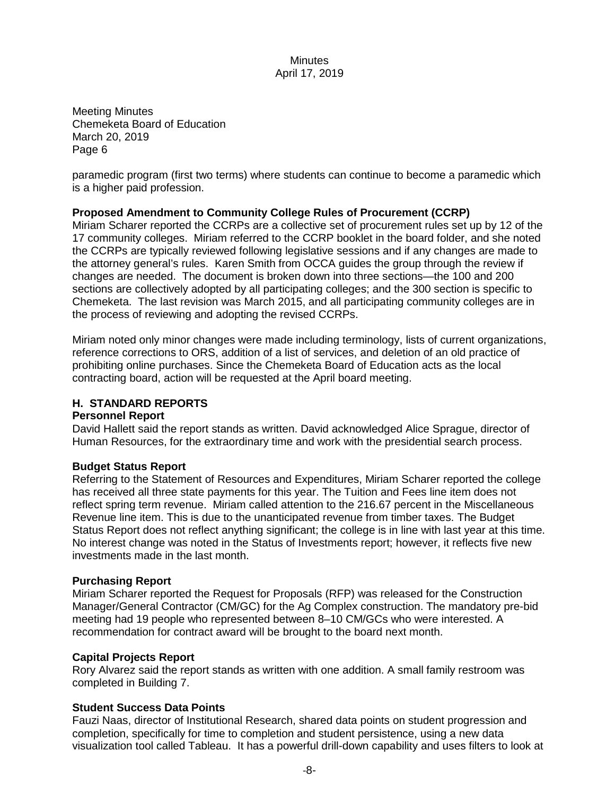Meeting Minutes Chemeketa Board of Education March 20, 2019 Page 6

paramedic program (first two terms) where students can continue to become a paramedic which is a higher paid profession.

## **Proposed Amendment to Community College Rules of Procurement (CCRP)**

Miriam Scharer reported the CCRPs are a collective set of procurement rules set up by 12 of the 17 community colleges. Miriam referred to the CCRP booklet in the board folder, and she noted the CCRPs are typically reviewed following legislative sessions and if any changes are made to the attorney general's rules. Karen Smith from OCCA guides the group through the review if changes are needed. The document is broken down into three sections—the 100 and 200 sections are collectively adopted by all participating colleges; and the 300 section is specific to Chemeketa. The last revision was March 2015, and all participating community colleges are in the process of reviewing and adopting the revised CCRPs.

Miriam noted only minor changes were made including terminology, lists of current organizations, reference corrections to ORS, addition of a list of services, and deletion of an old practice of prohibiting online purchases. Since the Chemeketa Board of Education acts as the local contracting board, action will be requested at the April board meeting.

### **H. STANDARD REPORTS**

#### **Personnel Report**

David Hallett said the report stands as written. David acknowledged Alice Sprague, director of Human Resources, for the extraordinary time and work with the presidential search process.

#### **Budget Status Report**

Referring to the Statement of Resources and Expenditures, Miriam Scharer reported the college has received all three state payments for this year. The Tuition and Fees line item does not reflect spring term revenue. Miriam called attention to the 216.67 percent in the Miscellaneous Revenue line item. This is due to the unanticipated revenue from timber taxes. The Budget Status Report does not reflect anything significant; the college is in line with last year at this time. No interest change was noted in the Status of Investments report; however, it reflects five new investments made in the last month.

#### **Purchasing Report**

Miriam Scharer reported the Request for Proposals (RFP) was released for the Construction Manager/General Contractor (CM/GC) for the Ag Complex construction. The mandatory pre-bid meeting had 19 people who represented between 8–10 CM/GCs who were interested. A recommendation for contract award will be brought to the board next month.

#### **Capital Projects Report**

Rory Alvarez said the report stands as written with one addition. A small family restroom was completed in Building 7.

#### **Student Success Data Points**

Fauzi Naas, director of Institutional Research, shared data points on student progression and completion, specifically for time to completion and student persistence, using a new data visualization tool called Tableau. It has a powerful drill-down capability and uses filters to look at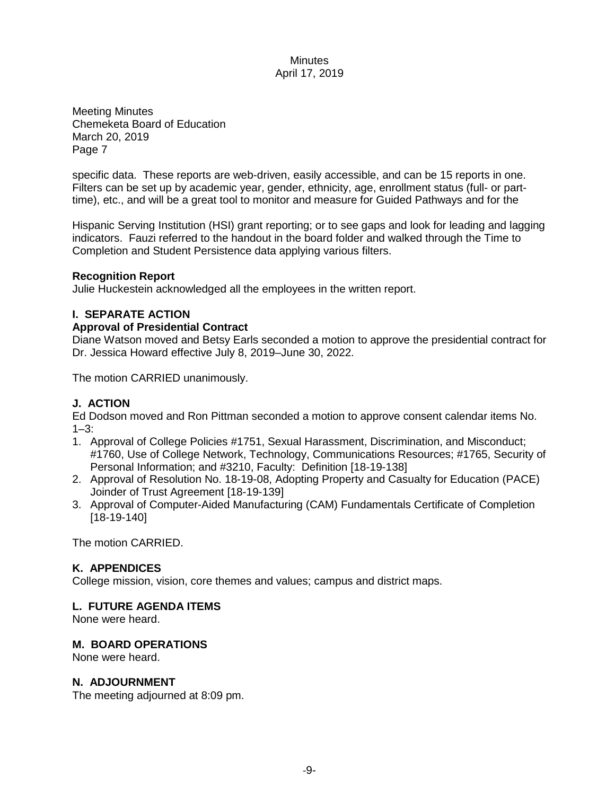Meeting Minutes Chemeketa Board of Education March 20, 2019 Page 7

specific data. These reports are web-driven, easily accessible, and can be 15 reports in one. Filters can be set up by academic year, gender, ethnicity, age, enrollment status (full- or parttime), etc., and will be a great tool to monitor and measure for Guided Pathways and for the

Hispanic Serving Institution (HSI) grant reporting; or to see gaps and look for leading and lagging indicators. Fauzi referred to the handout in the board folder and walked through the Time to Completion and Student Persistence data applying various filters.

### **Recognition Report**

Julie Huckestein acknowledged all the employees in the written report.

## **I. SEPARATE ACTION**

### **Approval of Presidential Contract**

Diane Watson moved and Betsy Earls seconded a motion to approve the presidential contract for Dr. Jessica Howard effective July 8, 2019–June 30, 2022.

The motion CARRIED unanimously.

# **J. ACTION**

Ed Dodson moved and Ron Pittman seconded a motion to approve consent calendar items No.  $1 - 3$ :

- 1. Approval of College Policies #1751, Sexual Harassment, Discrimination, and Misconduct; #1760, Use of College Network, Technology, Communications Resources; #1765, Security of Personal Information; and #3210, Faculty: Definition [18-19-138]
- 2. Approval of Resolution No. 18-19-08, Adopting Property and Casualty for Education (PACE) Joinder of Trust Agreement [18-19-139]
- 3. Approval of Computer-Aided Manufacturing (CAM) Fundamentals Certificate of Completion [18-19-140]

The motion CARRIED.

# **K. APPENDICES**

College mission, vision, core themes and values; campus and district maps.

## **L. FUTURE AGENDA ITEMS**

None were heard.

## **M. BOARD OPERATIONS**

None were heard.

#### **N. ADJOURNMENT**

The meeting adjourned at 8:09 pm.